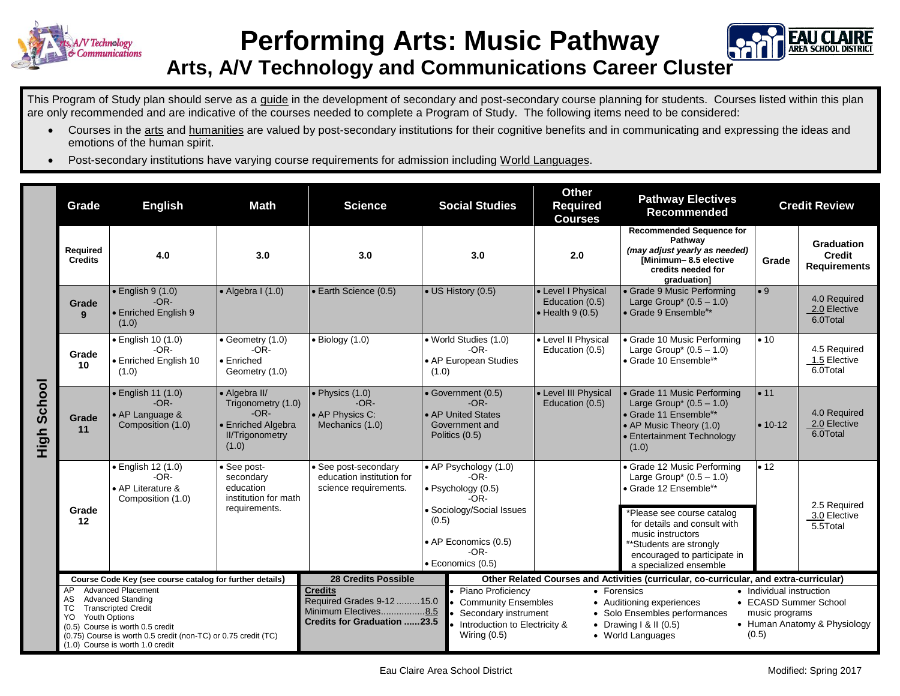



## **Arts, A/V Technology and Communications Career Cluster**

This Program of Study plan should serve as a guide in the development of secondary and post-secondary course planning for students. Courses listed within this plan are only recommended and are indicative of the courses needed to complete a Program of Study. The following items need to be considered:

- Courses in the arts and humanities are valued by post-secondary institutions for their cognitive benefits and in communicating and expressing the ideas and emotions of the human spirit.
- Post-secondary institutions have varying course requirements for admission including World Languages.

|                | Grade                                                                                                                                                                                                                                                                           | <b>English</b><br>Math                                                       |                                                                                                        | <b>Science</b>                                                                                            | <b>Social Studies</b>                                                                                                                                                       |                                                                                                                                                                                                                                                                                                                                                                          | <b>Other</b><br><b>Required</b><br><b>Courses</b>                 | <b>Pathway Electives</b><br><b>Recommended</b>                                                                                                                                                                                                                         | <b>Credit Review</b> |                                                    |
|----------------|---------------------------------------------------------------------------------------------------------------------------------------------------------------------------------------------------------------------------------------------------------------------------------|------------------------------------------------------------------------------|--------------------------------------------------------------------------------------------------------|-----------------------------------------------------------------------------------------------------------|-----------------------------------------------------------------------------------------------------------------------------------------------------------------------------|--------------------------------------------------------------------------------------------------------------------------------------------------------------------------------------------------------------------------------------------------------------------------------------------------------------------------------------------------------------------------|-------------------------------------------------------------------|------------------------------------------------------------------------------------------------------------------------------------------------------------------------------------------------------------------------------------------------------------------------|----------------------|----------------------------------------------------|
| School<br>High | Required<br><b>Credits</b>                                                                                                                                                                                                                                                      | 4.0                                                                          | 3.0                                                                                                    | 3.0                                                                                                       | 3.0                                                                                                                                                                         |                                                                                                                                                                                                                                                                                                                                                                          | 2.0                                                               | <b>Recommended Sequence for</b><br>Pathway<br>(may adjust yearly as needed)<br>[Minimum-8.5 elective<br>credits needed for<br>graduation]                                                                                                                              | Grade                | Graduation<br><b>Credit</b><br><b>Requirements</b> |
|                | Grade<br>9                                                                                                                                                                                                                                                                      | $\bullet$ English 9 (1.0)<br>$-OR-$<br>• Enriched English 9<br>(1.0)         | $\bullet$ Algebra I (1.0)                                                                              | • Earth Science (0.5)                                                                                     | • US History (0.5)                                                                                                                                                          |                                                                                                                                                                                                                                                                                                                                                                          | • Level I Physical<br>Education (0.5)<br>$\bullet$ Health 9 (0.5) | • Grade 9 Music Performing<br>Large Group* $(0.5 - 1.0)$<br>$\bullet$ Grade 9 Ensemble <sup>#*</sup>                                                                                                                                                                   | $\bullet$ 9          | 4.0 Required<br>2.0 Elective<br>6.0Total           |
|                | Grade<br>10                                                                                                                                                                                                                                                                     | • English 10 (1.0)<br>$-OR-$<br>• Enriched English 10<br>(1.0)               | $\bullet$ Geometry (1.0)<br>$-OR-$<br>$\bullet$ Enriched<br>Geometry (1.0)                             | $\bullet$ Biology (1.0)                                                                                   | • World Studies (1.0)<br>$-OR-$<br>• AP European Studies<br>(1.0)                                                                                                           |                                                                                                                                                                                                                                                                                                                                                                          | • Level II Physical<br>Education (0.5)                            | • Grade 10 Music Performing<br>Large Group* $(0.5 - 1.0)$<br>• Grade 10 Ensemble <sup>#*</sup>                                                                                                                                                                         | • 10                 | 4.5 Required<br>1.5 Elective<br>6.0Total           |
|                | Grade<br>11                                                                                                                                                                                                                                                                     | $\bullet$ English 11 (1.0)<br>$-OR-$<br>• AP Language &<br>Composition (1.0) | • Algebra II/<br>Trigonometry (1.0)<br>$-OR-$<br>• Enriched Algebra<br><b>II/Trigonometry</b><br>(1.0) | $\bullet$ Physics (1.0)<br>$-OR-$<br>• AP Physics C:<br>Mechanics (1.0)                                   | • Government (0.5)<br>$-OR-$<br>• AP United States<br>Government and<br>Politics (0.5)                                                                                      |                                                                                                                                                                                                                                                                                                                                                                          | • Level III Physical<br>Education (0.5)                           | • Grade 11 Music Performing<br>Large Group* $(0.5 - 1.0)$<br>• Grade 11 Ensemble <sup>#*</sup><br>• AP Music Theory (1.0)<br>• Entertainment Technology<br>(1.0)                                                                                                       | • 11<br>$• 10-12$    | 4.0 Required<br>2.0 Elective<br>6.0Total           |
|                | Grade<br>12                                                                                                                                                                                                                                                                     | • English 12 (1.0)<br>$-OR-$<br>• AP Literature &<br>Composition (1.0)       | • See post-<br>secondary<br>education<br>institution for math<br>requirements.                         | • See post-secondary<br>education institution for<br>science requirements.                                | $\overline{\bullet}$ AP Psychology (1.0)<br>-OR-<br>· Psychology (0.5)<br>$-OR-$<br>· Sociology/Social Issues<br>(0.5)<br>• AP Economics (0.5)<br>-OR-<br>· Economics (0.5) |                                                                                                                                                                                                                                                                                                                                                                          |                                                                   | • Grade 12 Music Performing<br>Large Group* $(0.5 - 1.0)$<br>• Grade 12 Ensemble <sup>#*</sup><br>*Please see course catalog<br>for details and consult with<br>music instructors<br>**Students are strongly<br>encouraged to participate in<br>a specialized ensemble | $\cdot$ 12           | 2.5 Required<br>3.0 Elective<br>5.5Total           |
|                | Course Code Key (see course catalog for further details)                                                                                                                                                                                                                        |                                                                              |                                                                                                        | <b>28 Credits Possible</b>                                                                                |                                                                                                                                                                             | Other Related Courses and Activities (curricular, co-curricular, and extra-curricular)                                                                                                                                                                                                                                                                                   |                                                                   |                                                                                                                                                                                                                                                                        |                      |                                                    |
|                | <b>Advanced Placement</b><br>AP<br><b>Advanced Standing</b><br>AS.<br>TC<br><b>Transcripted Credit</b><br><b>Youth Options</b><br>YO.<br>(0.5) Course is worth 0.5 credit<br>(0.75) Course is worth 0.5 credit (non-TC) or 0.75 credit (TC)<br>(1.0) Course is worth 1.0 credit |                                                                              |                                                                                                        | <b>Credits</b><br>Required Grades 9-12 15.0<br>Minimum Electives8.5<br><b>Credits for Graduation 23.5</b> |                                                                                                                                                                             | Piano Proficiency<br>• Individual instruction<br>• Forensics<br><b>Community Ensembles</b><br>• ECASD Summer School<br>• Auditioning experiences<br>Secondary instrument<br>• Solo Ensembles performances<br>music programs<br>Introduction to Electricity &<br>• Human Anatomy & Physiology<br>• Drawing I & II $(0.5)$<br>Wiring $(0.5)$<br>(0.5)<br>• World Languages |                                                                   |                                                                                                                                                                                                                                                                        |                      |                                                    |